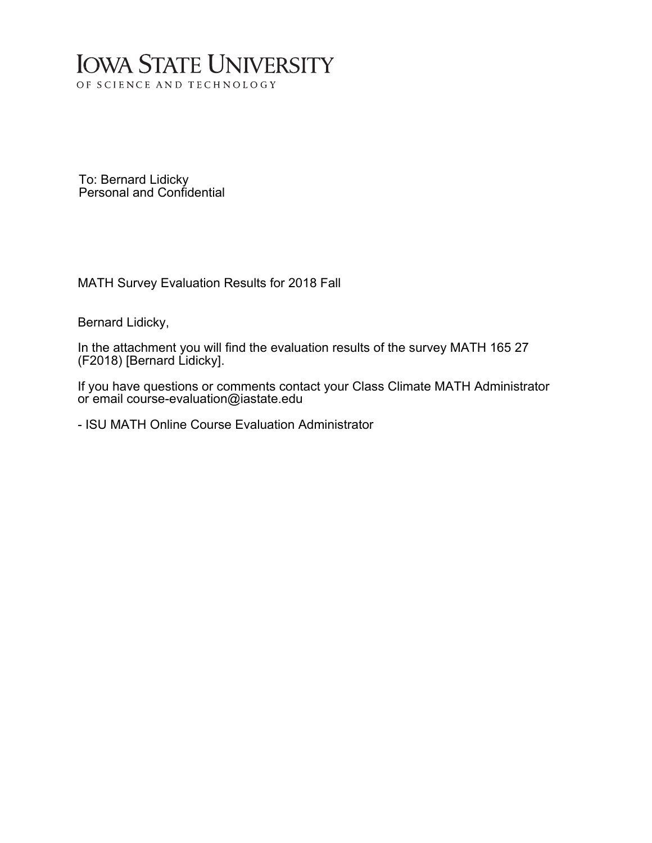# **IOWA STATE UNIVERSITY** OF SCIENCE AND TECHNOLOGY

To: Bernard Lidicky Personal and Confidential

MATH Survey Evaluation Results for 2018 Fall

Bernard Lidicky,

In the attachment you will find the evaluation results of the survey MATH 165 27 (F2018) [Bernard Lidicky].

If you have questions or comments contact your Class Climate MATH Administrator or email course-evaluation@iastate.edu

- ISU MATH Online Course Evaluation Administrator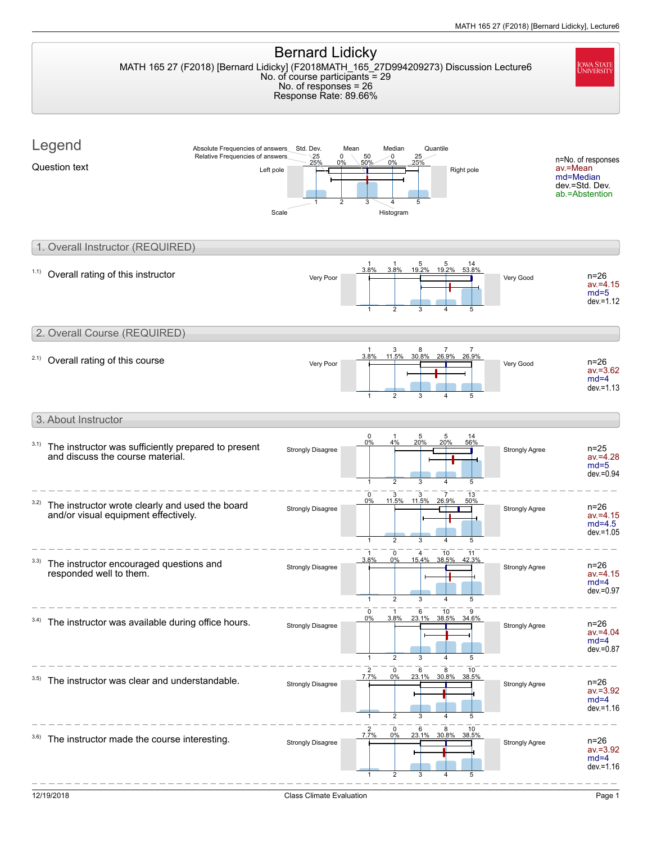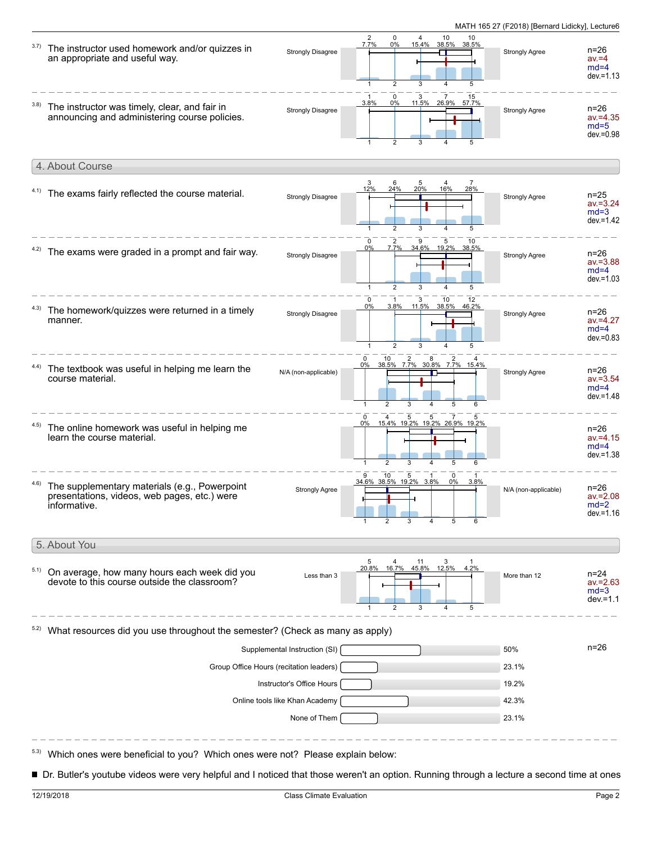| 3.7) | The instructor used homework and/or quizzes in<br>an appropriate and useful way.                              | <b>Strongly Disagree</b>                                    | $\overline{2}$<br>$\mathbf 0$<br>10<br>$\overline{4}$<br>10<br>38.5% 38.5%<br>7.7%<br>$0\%$<br>15.4%<br>$\overline{2}$<br>3<br>5<br>4                                                                                                                                                                                    | Strongly Agree        | $n = 26$<br>$av = 4$<br>$md=4$<br>$dev = 1.13$    |
|------|---------------------------------------------------------------------------------------------------------------|-------------------------------------------------------------|--------------------------------------------------------------------------------------------------------------------------------------------------------------------------------------------------------------------------------------------------------------------------------------------------------------------------|-----------------------|---------------------------------------------------|
| 3.8) | The instructor was timely, clear, and fair in<br>announcing and administering course policies.                | <b>Strongly Disagree</b>                                    | 0<br>3<br>15<br>3.8%<br>0%<br>11.5%<br>26.9%<br>57.7%<br>$\overline{2}$                                                                                                                                                                                                                                                  | Strongly Agree        | $n = 26$<br>$av = 4.35$<br>$md=5$<br>$dev = 0.98$ |
|      | 4. About Course                                                                                               |                                                             |                                                                                                                                                                                                                                                                                                                          |                       |                                                   |
|      | 4.1) The exams fairly reflected the course material.                                                          | <b>Strongly Disagree</b>                                    | 5<br>$\frac{3}{12\%}$<br>6<br>4<br>28%<br>24%<br>20%<br>16%<br>$\overline{2}$<br>5<br>3<br>$\overline{4}$                                                                                                                                                                                                                | <b>Strongly Agree</b> | $n = 25$<br>$av = 3.24$<br>$md=3$<br>$dev = 1.42$ |
|      | The exams were graded in a prompt and fair way.                                                               | <b>Strongly Disagree</b>                                    | $\mathbf 0$<br>$\overline{2}$<br>9<br>5<br>10<br>7.7%<br>34.6% 19.2% 38.5%<br>0%<br>2<br>3<br>5                                                                                                                                                                                                                          | <b>Strongly Agree</b> | n=26<br>$av = 3.88$<br>$md=4$<br>$dev = 1.03$     |
| 4.3) | The homework/quizzes were returned in a timely<br>manner.                                                     | <b>Strongly Disagree</b>                                    | 10<br>0<br>3<br>12<br>3.8% 11.5% 38.5% 46.2%<br>$0\%$<br>$\overline{2}$<br>$\mathbf{1}$<br>3<br>4                                                                                                                                                                                                                        | Strongly Agree        | $n=26$<br>$av = 4.27$<br>$md=4$<br>$dev = 0.83$   |
| 4.4) | The textbook was useful in helping me learn the<br>course material.                                           | N/A (non-applicable)                                        | $\mathbf 0$<br>10 2 8 2 4<br>38.5% 7.7% 30.8% 7.7% 15.4%<br>0%<br>$\overline{2}$<br>3<br>5<br>4<br>6<br>$\overline{1}$                                                                                                                                                                                                   | Strongly Agree        | n=26<br>$av = 3.54$<br>$md=4$<br>$dev = 1.48$     |
| 4.5) | The online homework was useful in helping me<br>learn the course material.                                    |                                                             | $\mathbf 0$<br>5<br>5<br>15.4% 19.2% 19.2% 26.9% 19.2%<br>$0\%$<br>2                                                                                                                                                                                                                                                     |                       | n=26<br>$av = 4.15$<br>$md=4$<br>$dev = 1.38$     |
|      | The supplementary materials (e.g., Powerpoint<br>presentations, videos, web pages, etc.) were<br>informative. | <b>Strongly Agree</b>                                       | $\frac{-}{9}$ - $\frac{10}{10}$ - $\frac{10}{5}$ - $\frac{1}{1}$ - $\frac{10}{10}$ - $\frac{10}{10}$ - $\frac{10}{10}$ - $\frac{10}{10}$ - $\frac{10}{10}$ - $\frac{10}{10}$ - $\frac{10}{10}$ - $\frac{10}{10}$ - $\frac{10}{10}$ - $\frac{10}{10}$ - $\frac{10}{10}$ - $\frac{10}{10}$ - $\frac$<br>0<br>$0\%$<br>3.8% | N/A (non-applicable)  | $n = 26$<br>av.=2.08<br>$md=2$<br>$dev = 1.16$    |
|      | 5. About You                                                                                                  |                                                             |                                                                                                                                                                                                                                                                                                                          |                       |                                                   |
| 5.1) | On average, how many hours each week did you<br>devote to this course outside the classroom?                  | Less than 3                                                 | 5 4 11 3 1<br>20.8% 16.7% 45.8% 12.5% 4.2%<br>$\overline{2}$<br>5                                                                                                                                                                                                                                                        | More than 12          | $n = 24$<br>$av = 2.63$<br>$md=3$<br>$dev = 1.1$  |
| 5.2) | What resources did you use throughout the semester? (Check as many as apply)                                  |                                                             |                                                                                                                                                                                                                                                                                                                          |                       |                                                   |
|      |                                                                                                               | Supplemental Instruction (SI)                               |                                                                                                                                                                                                                                                                                                                          | 50%                   | $n = 26$                                          |
|      | Group Office Hours (recitation leaders)                                                                       | 23.1%                                                       |                                                                                                                                                                                                                                                                                                                          |                       |                                                   |
|      |                                                                                                               | 19.2%                                                       |                                                                                                                                                                                                                                                                                                                          |                       |                                                   |
|      |                                                                                                               | 42.3%                                                       |                                                                                                                                                                                                                                                                                                                          |                       |                                                   |
|      |                                                                                                               | None of Them                                                |                                                                                                                                                                                                                                                                                                                          | 23.1%                 |                                                   |
|      | Which ones were beneficial to you? Which ones were not? Please explain below:                                 | Instructor's Office Hours<br>Online tools like Khan Academy |                                                                                                                                                                                                                                                                                                                          |                       |                                                   |

■ Dr. Butler's youtube videos were very helpful and I noticed that those weren't an option. Running through a lecture a second time at ones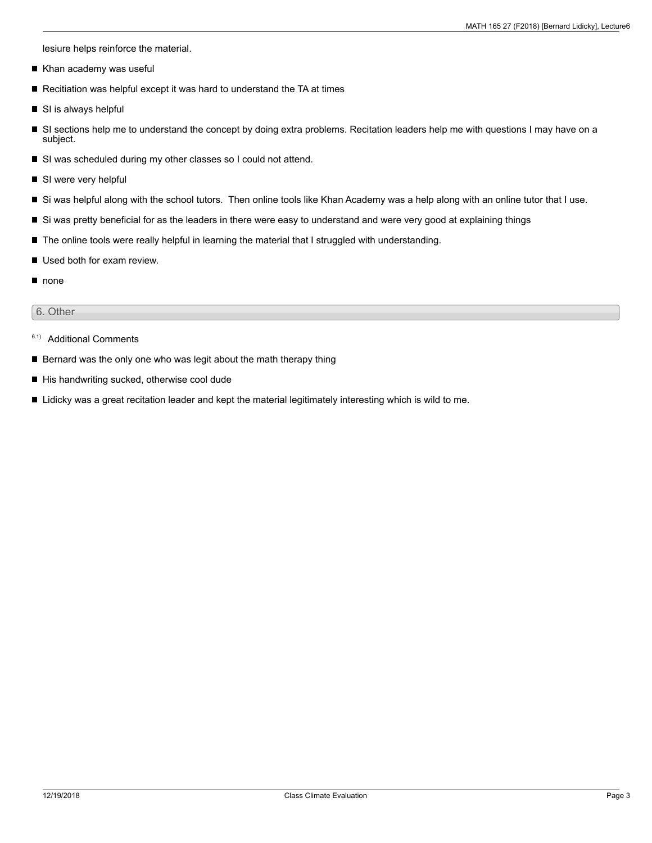lesiure helps reinforce the material.

- Khan academy was useful  $\blacksquare$
- Recitiation was helpful except it was hard to understand the TA at times
- SI is always helpful
- SI sections help me to understand the concept by doing extra problems. Recitation leaders help me with questions I may have on a  $\blacksquare$ subject.
- SI was scheduled during my other classes so I could not attend.
- SI were very helpful
- Si was helpful along with the school tutors. Then online tools like Khan Academy was a help along with an online tutor that I use.
- Si was pretty beneficial for as the leaders in there were easy to understand and were very good at explaining things
- The online tools were really helpful in learning the material that I struggled with understanding.
- Used both for exam review. П
- none

#### 6. Other

- 6.1) Additional Comments
- Bernard was the only one who was legit about the math therapy thing
- His handwriting sucked, otherwise cool dude
- Lidicky was a great recitation leader and kept the material legitimately interesting which is wild to me.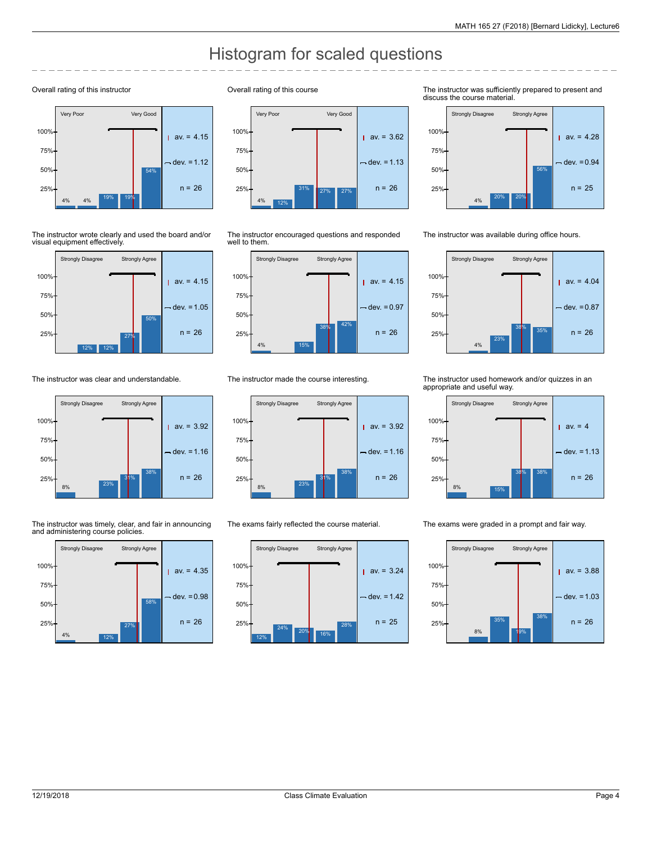# Histogram for scaled questions

#### Overall rating of this instructor



The instructor wrote clearly and used the board and/or visual equipment effectively.



The instructor was clear and understandable.



The instructor was timely, clear, and fair in announcing and administering course policies.







The instructor encouraged questions and responded well to them.



The instructor made the course interesting.



The exams fairly reflected the course material.



The instructor was sufficiently prepared to present and discuss the course material.



The instructor was available during office hours.



The instructor used homework and/or quizzes in an appropriate and useful way.



The exams were graded in a prompt and fair way.

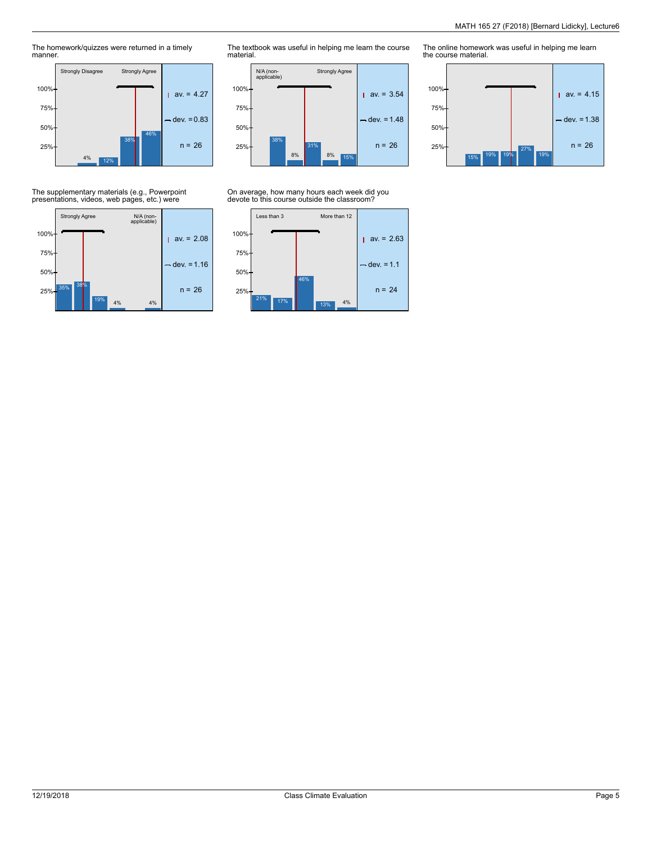The homework/quizzes were returned in a timely manner.



The textbook was useful in helping me learn the course material.



### On average, how many hours each week did you devote to this course outside the classroom?



The online homework was useful in helping me learn the course material.



## The supplementary materials (e.g., Powerpoint presentations, videos, web pages, etc.) were

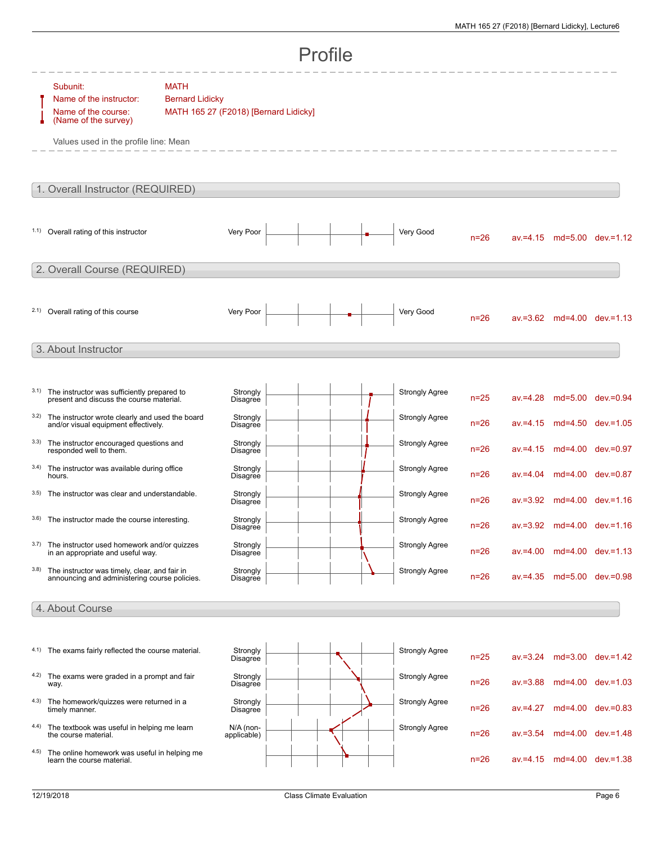|                                  | Profile                                                                                                                     |                                                                                |                            |  |  |  |                       |          |             |  |                                  |
|----------------------------------|-----------------------------------------------------------------------------------------------------------------------------|--------------------------------------------------------------------------------|----------------------------|--|--|--|-----------------------|----------|-------------|--|----------------------------------|
|                                  | Subunit:<br>Name of the instructor:<br>Name of the course:<br>(Name of the survey)<br>Values used in the profile line: Mean | <b>MATH</b><br><b>Bernard Lidicky</b><br>MATH 165 27 (F2018) [Bernard Lidicky] |                            |  |  |  |                       |          |             |  |                                  |
| 1. Overall Instructor (REQUIRED) |                                                                                                                             |                                                                                |                            |  |  |  |                       |          |             |  |                                  |
|                                  | 1.1) Overall rating of this instructor                                                                                      |                                                                                | Very Poor                  |  |  |  | Very Good             | $n=26$   |             |  | $av = 4.15$ md=5.00 dev $= 1.12$ |
| 2. Overall Course (REQUIRED)     |                                                                                                                             |                                                                                |                            |  |  |  |                       |          |             |  |                                  |
|                                  | 2.1) Overall rating of this course                                                                                          |                                                                                | Very Poor                  |  |  |  | Very Good             | $n=26$   |             |  | av.=3.62 md=4.00 dev.=1.13       |
|                                  | 3. About Instructor                                                                                                         |                                                                                |                            |  |  |  |                       |          |             |  |                                  |
| 3.1)                             | The instructor was sufficiently prepared to<br>present and discuss the course material.                                     |                                                                                | Strongly<br>Disagree       |  |  |  | <b>Strongly Agree</b> | $n = 25$ | $av = 4.28$ |  | md=5.00 dev.=0.94                |
| 3.2)                             | The instructor wrote clearly and used the board<br>and/or visual equipment effectively.                                     |                                                                                | Strongly<br>Disagree       |  |  |  | <b>Strongly Agree</b> | $n = 26$ | $av = 4.15$ |  | md=4.50 dev.=1.05                |
| 3.3)                             | The instructor encouraged questions and<br>responded well to them.                                                          |                                                                                | Strongly<br>Disagree       |  |  |  | <b>Strongly Agree</b> | $n = 26$ | $av = 4.15$ |  | md=4.00 dev.=0.97                |
| 3.4)                             | The instructor was available during office<br>hours.                                                                        |                                                                                | Strongly<br>Disagree       |  |  |  | <b>Strongly Agree</b> | $n = 26$ | $av = 4.04$ |  | md=4.00 dev.=0.87                |
| 3.5)                             | The instructor was clear and understandable.                                                                                |                                                                                | Strongly<br>Disagree       |  |  |  | <b>Strongly Agree</b> | $n = 26$ |             |  | av.=3.92 md=4.00 dev.=1.16       |
| 3.6)                             | The instructor made the course interesting.                                                                                 |                                                                                | Strongly<br>Disagree       |  |  |  | <b>Strongly Agree</b> | $n=26$   |             |  | av.=3.92 md=4.00 dev.=1.16       |
| 3.7)                             | The instructor used homework and/or quizzes<br>in an appropriate and useful way.                                            |                                                                                | Strongly<br>Disagree       |  |  |  | <b>Strongly Agree</b> | $n=26$   | $av = 4.00$ |  | md=4.00 dev.=1.13                |
| 3.8)                             | The instructor was timely, clear, and fair in<br>announcing and administering course policies.                              |                                                                                | Strongly<br>Disagree       |  |  |  | <b>Strongly Agree</b> | $n=26$   | $av = 4.35$ |  | md=5.00 dev.=0.98                |
|                                  | 4. About Course                                                                                                             |                                                                                |                            |  |  |  |                       |          |             |  |                                  |
|                                  | 4.1) The exams fairly reflected the course material.                                                                        |                                                                                | Strongly<br>Disagree       |  |  |  | <b>Strongly Agree</b> | $n=25$   | $av = 3.24$ |  | md=3.00 dev.=1.42                |
|                                  | 4.2) The exams were graded in a prompt and fair<br>way.                                                                     |                                                                                | Strongly<br>Disagree       |  |  |  | <b>Strongly Agree</b> | $n=26$   | $av = 3.88$ |  | md=4.00 dev.=1.03                |
|                                  | 4.3) The homework/quizzes were returned in a<br>timely manner.                                                              |                                                                                | Strongly<br>Disagree       |  |  |  | <b>Strongly Agree</b> | $n=26$   | $av = 4.27$ |  | md=4.00 dev.=0.83                |
|                                  | 4.4) The textbook was useful in helping me learn<br>the course material.                                                    |                                                                                | $N/A$ (non-<br>applicable) |  |  |  | <b>Strongly Agree</b> | $n=26$   | $av = 3.54$ |  | md=4.00 dev.=1.48                |
| 4.5)                             | The online homework was useful in helping me<br>learn the course material.                                                  |                                                                                |                            |  |  |  |                       | $n=26$   | $av = 4.15$ |  | md=4.00 dev.=1.38                |